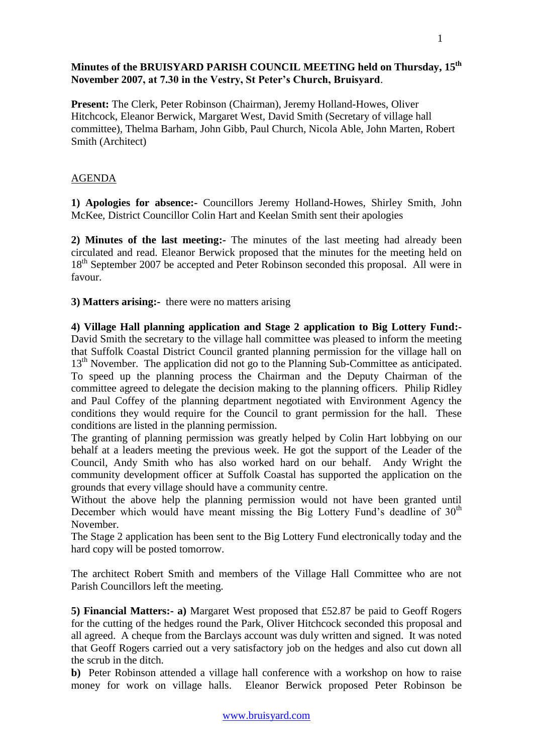## **Minutes of the BRUISYARD PARISH COUNCIL MEETING held on Thursday, 15th November 2007, at 7.30 in the Vestry, St Peter's Church, Bruisyard**.

**Present:** The Clerk, Peter Robinson (Chairman), Jeremy Holland-Howes, Oliver Hitchcock, Eleanor Berwick, Margaret West, David Smith (Secretary of village hall committee), Thelma Barham, John Gibb, Paul Church, Nicola Able, John Marten, Robert Smith (Architect)

## AGENDA

**1) Apologies for absence:-** Councillors Jeremy Holland-Howes, Shirley Smith, John McKee, District Councillor Colin Hart and Keelan Smith sent their apologies

**2) Minutes of the last meeting:-** The minutes of the last meeting had already been circulated and read. Eleanor Berwick proposed that the minutes for the meeting held on 18<sup>th</sup> September 2007 be accepted and Peter Robinson seconded this proposal. All were in favour.

**3) Matters arising:-** there were no matters arising

**4) Village Hall planning application and Stage 2 application to Big Lottery Fund:-** David Smith the secretary to the village hall committee was pleased to inform the meeting that Suffolk Coastal District Council granted planning permission for the village hall on 13<sup>th</sup> November. The application did not go to the Planning Sub-Committee as anticipated. To speed up the planning process the Chairman and the Deputy Chairman of the committee agreed to delegate the decision making to the planning officers. Philip Ridley and Paul Coffey of the planning department negotiated with Environment Agency the conditions they would require for the Council to grant permission for the hall. These conditions are listed in the planning permission.

The granting of planning permission was greatly helped by Colin Hart lobbying on our behalf at a leaders meeting the previous week. He got the support of the Leader of the Council, Andy Smith who has also worked hard on our behalf. Andy Wright the community development officer at Suffolk Coastal has supported the application on the grounds that every village should have a community centre.

Without the above help the planning permission would not have been granted until December which would have meant missing the Big Lottery Fund's deadline of  $30<sup>th</sup>$ November.

The Stage 2 application has been sent to the Big Lottery Fund electronically today and the hard copy will be posted tomorrow.

The architect Robert Smith and members of the Village Hall Committee who are not Parish Councillors left the meeting.

**5) Financial Matters:- a)** Margaret West proposed that £52.87 be paid to Geoff Rogers for the cutting of the hedges round the Park, Oliver Hitchcock seconded this proposal and all agreed. A cheque from the Barclays account was duly written and signed. It was noted that Geoff Rogers carried out a very satisfactory job on the hedges and also cut down all the scrub in the ditch.

**b)** Peter Robinson attended a village hall conference with a workshop on how to raise money for work on village halls. Eleanor Berwick proposed Peter Robinson be